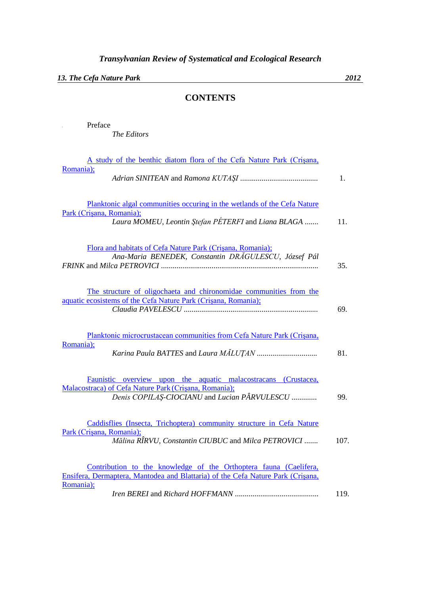*13. The Cefa Nature Park 2012*

*The Editors*

**I** Preface

## **CONTENTS**

| A study of the benthic diatom flora of the Cefa Nature Park (Crisana,           |      |
|---------------------------------------------------------------------------------|------|
| Romania);                                                                       |      |
|                                                                                 | 1.   |
|                                                                                 |      |
| Planktonic algal communities occuring in the wetlands of the Cefa Nature        |      |
| Park (Crisana, Romania);                                                        |      |
| Laura MOMEU, Leontin Ștefan PÉTERFI and Liana BLAGA                             | 11.  |
|                                                                                 |      |
|                                                                                 |      |
| Flora and habitats of Cefa Nature Park (Crisana, Romania);                      |      |
| Ana-Maria BENEDEK, Constantin DRĂGULESCU, József Pál                            |      |
|                                                                                 | 35.  |
|                                                                                 |      |
| The structure of oligochaeta and chironomidae communities from the              |      |
| aquatic ecosistems of the Cefa Nature Park (Crisana, Romania);                  |      |
|                                                                                 | 69.  |
|                                                                                 |      |
|                                                                                 |      |
| Planktonic microcrustacean communities from Cefa Nature Park (Crisana,          |      |
| Romania);                                                                       | 81.  |
|                                                                                 |      |
|                                                                                 |      |
| Faunistic overview upon the aquatic malacostracans (Crustacea,                  |      |
| Malacostraca) of Cefa Nature Park (Crișana, Romania);                           |      |
| Denis COPILAŞ-CIOCIANU and Lucian PÂRVULESCU                                    | 99.  |
|                                                                                 |      |
| Caddisflies (Insecta, Trichoptera) community structure in Cefa Nature           |      |
| Park (Crisana, Romania);                                                        |      |
| Mălina RÎRVU, Constantin CIUBUC and Milca PETROVICI                             | 107. |
|                                                                                 |      |
|                                                                                 |      |
| Contribution to the knowledge of the Orthoptera fauna (Caelifera,               |      |
| Ensifera, Dermaptera, Mantodea and Blattaria) of the Cefa Nature Park (Crisana, |      |
| Romania);                                                                       |      |
|                                                                                 | 119. |